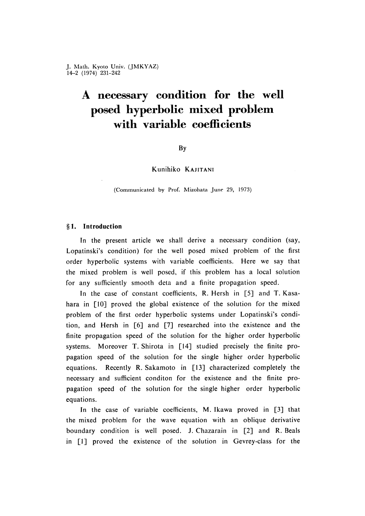# **A necessary condition for the well posed hyperbolic mixed problem with variable coefficients**

#### **By**

**Kunihiko** KAJITANI

(Communicated by Prof. Mizohata June 29, 1973)

## **§1 . Introduction**

In the present article we shall derive a necessary condition (say, Lopatinski's condition) for the well posed mixed problem of the first order hyperbolic systems with variable coefficients. Here we say that the mixed problem is well posed, if this problem has a local solution for any sufficiently smooth deta and a finite propagation speed.

In the case of constant coefficients, R. Hersh in [5] and T. Kasahara in  $[10]$  proved the global existence of the solution for the mixed problem of the first order hyperbolic systems under Lopatinski's condition, and Hersh in  $\lceil 6 \rceil$  and  $\lceil 7 \rceil$  researched into the existence and the finite propagation speed of the solution for the higher order hyperbolic systems. Moreover T. Shirota in [14] studied precisely the finite propagation speed of the solution for the single higher order hyperbolic equations. Recently R. Sakamoto in  $[13]$  characterized completely the necessary and sufficient conditon for the existence and the finite propagation speed of the solution for the single higher order hyperbolic equations.

In the case of variable coefficients, M. Ikawa proved in  $[3]$  that the mixed problem for the wave equation with an oblique derivative boundary condition is well posed. J. Chazarain in [2] and R. Beals in [1] proved the existence of the solution in Gevrey-class for the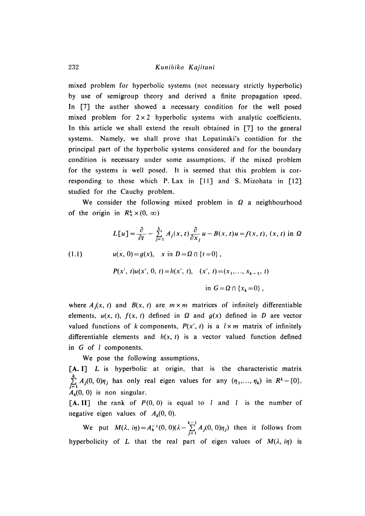### 232 *Kunihiko Kajitani*

mixed problem for hyperbolic systems (not necessary strictly hyperbolic) by use of semigroup theory and derived a finite propagation speed. In [7] the auther showed a necessary condition for the well posed mixed problem for  $2 \times 2$  hyperbolic systems with analytic coefficients. In this article we shall extend the result obtained in [7] to the general systems. Namely, we shall prove that Lopatinski's contidion for the principal part of the hyperbolic systems considered and for the boundary condition is necessary under some assumptions, if the mixed problem for the systems is well posed. It is seemed that this problem is corresponding to those which P. Lax in  $[11]$  and S. Mizohata in  $[12]$ studied for the Cauchy problem.

We consider the following mixed problem in  $\Omega$  a neighbourhood of the origin in  $R^k_+ \times (0, \infty)$ 

(1.1)  
\n
$$
L[u] = \frac{\partial}{\partial t} - \sum_{j=1}^{k} A_j(x, t) \frac{\partial}{\partial x_j} u - B(x, t) u = f(x, t), (x, t) \text{ in } \Omega
$$
\n
$$
u(x, 0) = g(x), \quad x \text{ in } D = \Omega \cap \{t = 0\},
$$
\n
$$
P(x', t)u(x', 0, t) = h(x', t), \quad (x', t) = (x_1, ..., x_{k-1}, t)
$$
\n
$$
\text{in } G = \Omega \cap \{x_k = 0\},
$$

where  $A_i(x, t)$  and  $B(x, t)$  are  $m \times m$  matrices of infinitely differentiable elements,  $u(x, t)$ ,  $f(x, t)$  defined in  $\Omega$  and  $g(x)$  defined in  $D$  are vector valued functions of *k* components,  $P(x', t)$  is a  $l \times m$  matrix of infinitely differentiable elements and  $h(x, t)$  is a vector valued function defined in *G* of *l* components.

We pose the following assumptions,

[A. I] *L* is hyperbolic at origin, that is the characteristic matrix  $\sum_{j=1}^{n} A_j (0, 0) \eta_j$  has only real eigen values for any  $(\eta_1, \dots, \eta_k)$  in  $R^k - \{0\}$ .  $A_k(0, 0)$  is non singular.

 $[A, II]$  the rank of  $P(0, 0)$  is equal to *l* and *l* is the number of negative eigen values of  $A_k(0, 0)$ .

We put  $M(\lambda, i\eta) = A_k^{-1}(0, 0)(\lambda - \sum_{i=1}^{k-1} A_i(0, 0)\eta_i)$  then it follows from hyperbolicity of *L* that the real part of eigen values of  $M(\lambda, i\eta)$  is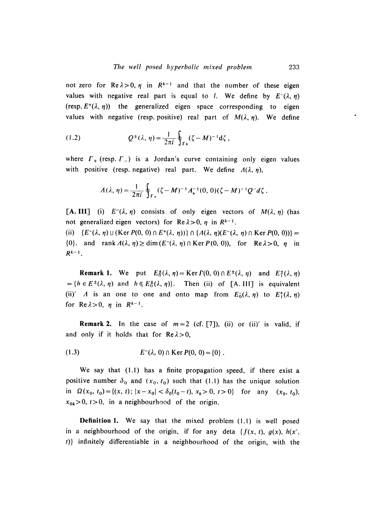not zero for  $\text{Re}\lambda > 0$ ,  $\eta$  in  $R^{k-1}$  and that the number of these eigen values with negative real part is equal to *l*. We define by  $E^{-}(\lambda, \eta)$ (resp.  $E^+(\lambda, \eta)$ ) the generalized eigen space corresponding to eigen values with negative (resp. positive) real part of  $M(\lambda, \eta)$ . We define

(1.2) 
$$
Q^{\pm}(\lambda, \eta) = \frac{1}{2\pi i} \oint_{\Gamma_{\pm}} (\zeta - M)^{-1} d\zeta,
$$

where  $\Gamma_+$  (resp.  $\Gamma_-$ ) is a Jordan's curve containing only eigen values with positive (resp. negative) real part. We define  $A(\lambda, \eta)$ ,

$$
\Lambda(\lambda, \eta) = \frac{1}{2\pi i} \oint_{\Gamma_+} (\zeta - M)^{-1} A_{\kappa}^{-1}(0, 0) (\zeta - M)^{-1} Q^{-} d\zeta.
$$

[A. III] (i)  $E^{-}(\lambda, \eta)$  consists of only eigen vectors of  $M(\lambda, \eta)$  (has not generalized eigen vectors) for  $Re \lambda > 0$ ,  $\eta$  in  $R^{k-1}$ .

(ii)  $\{E^-(\lambda, \eta) \cup (\text{Ker } P(0, 0) \cap E^+(\lambda, \eta))\} \cap \{\Lambda(\lambda, \eta)(E^-(\lambda, \eta) \cap \text{Ker } P(0, 0))\}$  $\{0\}$ . and rank  $A(\lambda, \eta) \ge \dim (E^-(\lambda, \eta) \cap \text{Ker } P(0, 0))$ , for Re  $\lambda > 0$ ,  $\eta$  in *Rk - 1 .*

**Remark 1.** We put  $E_0^{\pm}(\lambda, \eta) = \text{Ker } F(0, 0) \cap E^{\pm}(\lambda, \eta)$  and  $E_0^{\pm}(\lambda, \eta)$  $=$  { $h \in E^{\pm}(\lambda, \eta)$  and  $h \notin E^{\pm}_{0}(\lambda, \eta)$ }. Then (ii) of [A .III] is equivalent (ii)' *A* is an one to one and onto map from  $E_0^-(\lambda, \eta)$  to  $E_1^+(\lambda, \eta)$ for  $Re \lambda > 0$ ,  $\eta$  in  $R^{k-1}$ .

**Remark 2.** In the case of  $m=2$  (cf. [7]), (ii) or (ii)' is valid, if and only if it holds that for  $Re \lambda > 0$ ,

(1.3) 
$$
E^{-}(\lambda, 0) \cap \text{Ker } P(0, 0) = \{0\}.
$$

We say that  $(1.1)$  has a finite propagation speed, if there exist a positive number  $\delta_0$  and  $(x_0, t_0)$  such that (1.1) has the unique solution in  $\Omega(x_0, t_0) = \{(x, t); |x - x_0| < \delta_0(t_0 - t), x_k > 0, t > 0\}$  for any  $(x_0, t_0)$ ,  $x_{0k} > 0$ ,  $t > 0$ , in a neighbourhood of the origin.

**Definition 1.** We say that the mixed problem (1.1) is well posed in a neighbourhood of the origin, if for any deta  $\{f(x, t), g(x), h(x', t)\}$ *t*)} infinitely differentiable in a neighbourhood of the origin, with the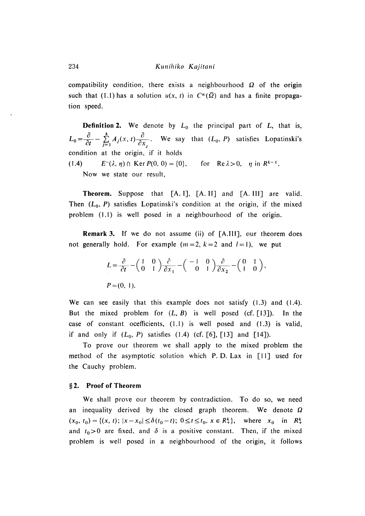compatibility condition, there exists a neighbourhood  $\Omega$  of the origin such that (1.1) has a solution  $u(x, t)$  in  $C^{\infty}(\overline{\Omega})$  and has a finite propagation speed.

**Definition 2.** We denote by  $L_0$  the principal part of  $L$ , that is,  $L_0 = \frac{\partial}{\partial t} - \sum_{j=1}^n A_j(x, t) \frac{\partial}{\partial x_j}$ . We say that  $(L_0, P)$  satisfies Lopatinski's condition at the origin, if it holds **(1.4)**  $E^{-}(\lambda, \eta) \cap \text{Ker } P(0, 0) = \{0\}, \text{ for } \text{Re } \lambda > 0, \eta \text{ in } R^{k-1}.$ Now we state our result,

**Theorem.** Suppose that [A. I], [A. II] and [A. III] are valid. Then  $(L_0, P)$  satisfies Lopatinski's condition at the origin, if the mixed problem  $(1.1)$  is well posed in a neighbourhood of the origin.

**Remark 3.** If we do not assume (ii) of [A.III], our theorem does not generally hold. For example  $(m=2, k=2 \text{ and } l=1)$ , we put

$$
L = \frac{\partial}{\partial t} - \begin{pmatrix} 1 & 0 \\ 0 & 1 \end{pmatrix} \frac{\partial}{\partial x_1} - \begin{pmatrix} -1 & 0 \\ 0 & 1 \end{pmatrix} \frac{\partial}{\partial x_2} - \begin{pmatrix} 0 & 1 \\ 1 & 0 \end{pmatrix},
$$
  

$$
P = (0, 1).
$$

We can see easily that this example does not satisfy  $(1.3)$  and  $(1.4)$ . But the mixed problem for  $(L, B)$  is well posed (cf. [13]). In the case of constant ocefficients,  $(1.1)$  is well posed and  $(1.3)$  is valid, if and only if  $(L_0, P)$  satisfies  $(1.4)$  (cf. [6], [13] and [14]).

To prove our theorem we shall apply to the mixed problem the method of the asymptotic solution which P. D. Lax in  $[11]$  used for the Cauchy problem.

#### **§2. Proof of Theorem**

We shall prove our theorem by contradiction. To do so, we need an inequality derived by the closed graph theorem. We denote  $\Omega$  $(x_0, t_0) = \{(x, t); |x - x_0| \le \delta(t_0 - t); 0 \le t \le t_0, x \in R_+^k\}, \text{ where } x_0 \text{ in } R_+^k.$ and  $t_0 > 0$  are fixed, and  $\delta$  is a positive constant. Then, if the mixed problem is well posed in a neighbourhood of the origin, it follows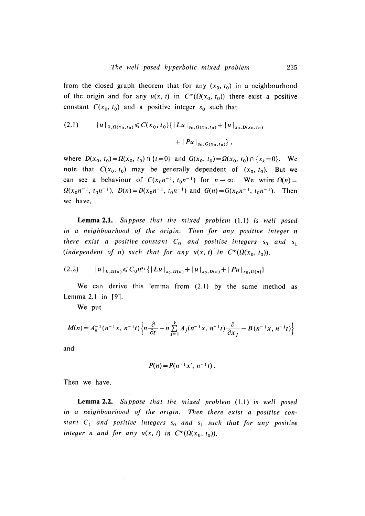from the closed graph theorem that for any  $(x_0, t_0)$  in a neighbourhood of the origin and for any  $u(x, t)$  in  $C^{\infty}(\Omega(x_0, t_0))$  there exist a positive constant  $C(x_0, t_0)$  and a positive integer  $s_0$  such that

$$
(2.1) \t |u|_{0,\Omega(x_0,t_0)} \leq C(x_0,t_0) \{ |Lu|_{s_0,\Omega(x_0,t_0)} + |u|_{s_0,D(x_0,t_0)} + |Pu|_{s_0,G(x_0,t_0)} \},
$$

where  $D(x_0, t_0) = \Omega(x_0, t_0) \cap \{t = 0\}$  and  $G(x_0, t_0) = \Omega(x_0, t_0) \cap \{x_k = 0\}$ . We note that  $C(x_0, t_0)$  may be generally dependent of  $(x_0, t_0)$ . But we can see a behaviour of  $C(x_0 n^{-1}, t_0 n^{-1})$  for  $n \to \infty$ . We wtire  $\Omega(n) =$  $\Omega(x_0 n^{-1}, t_0 n^{-1}), D(n) = D(x_0 n^{-1}, t_0 n^{-1})$  and  $G(n) = G(x_0 n^{-1}, t_0 n^{-1}).$  Then we have,

**Lemma 2 .1 .** *S uppose th at th e m ix ed problem* (1.1) *is w ell posed* in a neighbourhood of the origin. Then for any positive integer n there exist a positive constant  $C_0$  and positive integers  $s_0$  and  $s_1$ (independent of n) such that for any  $u(x, t)$  in  $C^{\infty}(\Omega(x_0, t_0))$ ,

$$
(2.2) \qquad |u|_{0,\Omega(n)} \leq C_0 n^{s_1} \{ |Lu|_{s_0,\Omega(n)} + |u|_{s_0,D(n)} + |Pu|_{s_0,G(n)} \}
$$

We can derive this lemma from  $(2.1)$  by the same method as Lemma 2.1 in [9].

We put

$$
M(n) = A_k^{-1}(n^{-1}x, n^{-1}t) \left\{ n \frac{\partial}{\partial t} - n \sum_{j=1}^k A_j(n^{-1}x, n^{-1}t) \frac{\partial}{\partial x_j} - B(n^{-1}x, n^{-1}t) \right\}
$$

and

$$
P(n) = P(n^{-1}x', n^{-1}t).
$$

Then we have,

**Lemma 2 .2 .** *S uppose th at th e m ix ed problem* (1.1) *is w ell posed* in a neighbourhood of the origin. Then there exist a positive constant  $C_1$  and positive integers  $s_0$  and  $s_1$  such that for any positive *integer n and for any u*(*x*, *t*) *in*  $C^{\infty}(\Omega(x_0, t_0))$ ,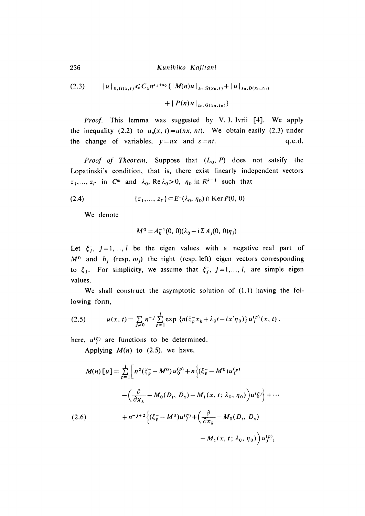236 *Kunihiko Kajitani*

$$
(2.3) \t |u|_{0,\Omega(x,t)} \leq C_1 n^{s_1+s_0} \{ |M(n)u|_{s_0,\Omega(x_0,t)} + |u|_{s_0,D(x_0,t_0)} + |P(n)u|_{s_0,G(x_0,t_0)} \}
$$

*Proof.* This lemma was suggested by V. J. Ivrii [4]. We apply the inequality (2.2) to  $u_n(x, t) = u(nx, nt)$ . We obtain easily (2.3) under the change of variables,  $y = nx$  and  $s = nt$ . q.e.d.

*Proof of Theorem.* Suppose that  $(L_0, P)$  does not satsify the Lopatinski's condition, that is, there exist linearly independent vectors  $Z_1, \ldots, Z_{l'}$  in  $C^m$  and  $\lambda_0$ ,  $\text{Re }\lambda_0 > 0$ ,  $\eta_0$  in  $R^{k-1}$  such that

(2.4) 
$$
\{z_1,..., z_{l'}\} \subset E^-(\lambda_0, \eta_0) \cap \text{Ker } P(0, 0)
$$

We denote

$$
M^{0} = A_{k}^{-1}(0, 0)(\lambda_{0} - i \Sigma A_{j}(0, 0)\eta_{j})
$$

Let  $\xi_1^-, j=1, ..., l$  be the eigen values with a negative real part of  $M^0$  and  $h_i$  (resp.  $\omega_i$ ) the right (resp. left) eigen vectors corresponding to  $\xi_j$ . For simplicity, we assume that  $\xi_j$ ,  $j = 1,..., l$ , are simple eigen values.

We shall construct the asymptotic solution of  $(1.1)$  having the following form,

(2.5) 
$$
u(x, t) = \sum_{j\geq 0} n^{-j} \sum_{p=1}^{l} \exp \left\{ n(\xi_p^{\top} x_k + \lambda_0 t - i x' \eta_0) \right\} u_j^{(p)}(x, t),
$$

here,  $u^{(p)}$  are functions to be determined.

Applying  $M(n)$  to (2.5), we have,

$$
M(n) [u] = \sum_{p=1}^{l} \left[ n^2 (\xi_p^{\text{--}} - M^0) u_0^{(p)} + n \left\{ (\xi_p^{\text{--}} - M^0) u_1^{(p)} \right.\right.- \left( \frac{\partial}{\partial x_k} - M_0 (D_t, D_x) - M_1 (x, t; \lambda_0, \eta_0) \right) u_0^{(p)} \right\} + \cdots(2.6) + n^{-j+2} \left\{ (\xi_p^{\text{--}} - M^0) u_1^{(p)} + \left( \frac{\partial}{\partial x_k} - M_0 (D_t, D_x) \right.\right.- M_1 (x, t; \lambda_0, \eta_0) \right) u_{j-1}^{(p)}
$$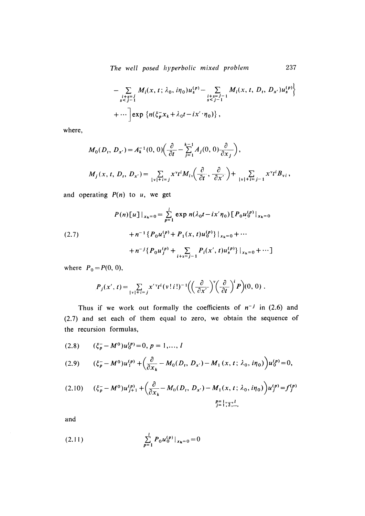*T h e well posed hyperbolic m ix ed problem* 237

$$
- \sum_{\substack{i+s=j \\ s  
+...
$$
\left[ exp \left\{ n(\xi_p^T x_k + \lambda_0 t - ix' \cdot \eta_0) \right\}, \right]
$$
$$

where,

$$
M_0(D_t, D_{x'}) = A_k^{-1}(0, 0) \left( \frac{\partial}{\partial t} - \sum_{j=1}^{k-1} A_j(0, 0) \frac{\partial}{\partial x_j} \right),
$$
  

$$
M_j(x, t, D_t, D_{x'}) = \sum_{|v|+i=j} x^v t^i M_{iv} \left( \frac{\partial}{\partial t}, \frac{\partial}{\partial x'} \right) + \sum_{|v|+i=j-1} x^v t^i B_{vi},
$$

and operating  $P(n)$  to  $u$ , we get

$$
P(n)[u]|_{x_k=0} = \sum_{p=1}^{l} \exp n(\lambda_0 t - i x' \eta_0) [P_0 u_0^{(p)}|_{x_k=0}
$$
  

$$
+ n^{-1} \{P_0 u_1^{(p)} + P_1(x, t) u_0^{(p)}\}|_{x_k=0} + \cdots
$$
  

$$
+ n^{-j} \{P_0 u_j^{(p)} + \sum_{i+s=j-1} P_i(x', t) u_s^{(p)}\}|_{x_k=0} + \cdots]
$$

where  $P_0 = P(0, 0)$ ,

$$
P_j(x',t) = \sum_{\|v\|+i=j} x'^{v} t^i (v+i!)^{-1} \Big( \Big(\frac{\partial}{\partial x'}\Big)^{v} \Big(\frac{\partial}{\partial t}\Big)^{i} P \Big) (0,0) .
$$

Thus if we work out formally the coefficients of  $n^{-j}$  in (2.6) and  $(2.7)$  and set each of them equal to zero, we obtain the sequence of the recursion formulas,

$$
(2.8) \qquad (\xi_p^--M^0)u_0^{(p)}=0, \ p=1,\ldots,l
$$

$$
(2.9) \qquad (\xi_p^- - M^0)u_1^{(p)} + \left(\frac{\partial}{\partial x_k} - M_0(D_t, D_{x'}) - M_1(x, t; \lambda_0, i\eta_0)\right)u_0^{(p)} = 0,
$$

$$
(2.10) \qquad (\xi_p^- - M^0)u_{j+1}^{(p)} + \left(\frac{\partial}{\partial x_k} - M_0(D_t, D_{x'}) - M_1(x, t; \lambda_0, i\eta_0)\right)u_j^{(p)} = f_j^{(p)}
$$
  

$$
\xi_p^2 = \frac{1}{2} \xi_{j}^{2l}.
$$

and

(2.11) 
$$
\sum_{p=1}^{l} P_0 u_0^{(p)} |_{x_k=0} = 0
$$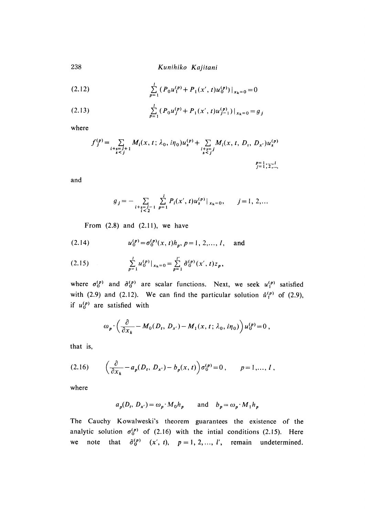238 *Kunihiko Kajitani*

(2.12) 
$$
\sum_{p=1}^{l} (P_0 u_1^{(p)} + P_1(x', t) u_0^{(p)})|_{x_k=0} = 0
$$

(2.13) 
$$
\sum_{p=1}^{l} (P_0 u_j^{(p)} + P_1(x', t) u_{j-1}^{(p)})|_{x_k=0} = g_j
$$

where

$$
f_j^{(p)} = \sum_{\substack{i+s=j+1 \ s \le j}} M_i(x, t; \lambda_0, i\eta_0) u_s^{(p)} + \sum_{\substack{i+s=j \ s \le j}} M_i(x, t, D_i, D_{x'}) u_s^{(p)}
$$

 $j=1, 2, ...$ 

and

$$
g_j = - \sum_{\substack{i+s=j-1\\i< j}} \sum_{p=1}^l P_i(x',t) u_s^{(p)}|_{x_k=0}, \qquad j=1, 2,...
$$

From  $(2.8)$  and  $(2.11)$ , we have

(2.14) 
$$
u_0^{(p)} = \sigma_0^{(p)}(x, t)h_p, p = 1, 2, ..., l, \text{ and}
$$

$$
(2.15) \qquad \qquad \sum_{p=1}^{l} u_{0}^{(p)}|_{x_{k}=0} = \sum_{p=1}^{l'} \tilde{\sigma}_{0}^{(p)}(x',t) z_{p},
$$

where  $\sigma_0^{(p)}$  and  $\tilde{\sigma}_0^{(p)}$  are scalar functions. Next, we seek  $u_1^{(p)}$  satisfied with (2.9) and (2.12). We can find the particular solution  $\hat{u}_1^{(p)}$  of (2.9), if  $u_0^{(p)}$  are satisfied with

$$
\omega_p \cdot \left(\frac{\partial}{\partial x_k} - M_0(D_t, D_{x'}) - M_1(x, t; \lambda_0, i\eta_0)\right) u_0^{(p)} = 0,
$$

that is,

$$
(2.16) \qquad \left(\frac{\partial}{\partial x_k} - a_p(D_t, D_{x'}) - b_p(x, t)\right) \sigma_0^{(p)} = 0 \,, \qquad p = 1, ..., l \,,
$$

where

$$
a_p(D_t, D_{x'}) = \omega_p \cdot M_0 h_p
$$
 and  $b_p = \omega_p \cdot M_1 h_p$ 

The Cauchy Kowalweski's theorem guarantees the existence of the analytic solution  $\sigma_0^{(p)}$  of (2.16) with the intial conditions (2.15). Here we note that  $\tilde{\sigma}_0^{(p)}$   $(x', t)$ ,  $p = 1, 2, ..., l'$ , remain undetermined.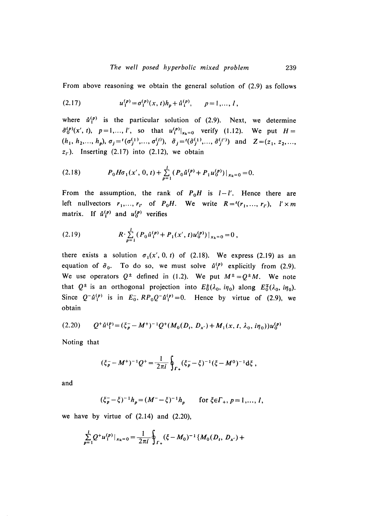From above reasoning we obtain the general solution of (2.9) as follows

(2.17) 
$$
u_1^{(p)} = \sigma_1^{(p)}(x, t)h_p + \mathring{u}_1^{(p)}, \qquad p = 1, ..., l,
$$

where  $\hat{u}_1^{(p)}$  is the particular solution of (2.9). Next, we determine  $\tilde{\sigma}_0^{(p)}(x', t)$ ,  $p=1,..., l'$ , so that  $u_1^{(p)}|_{x_k=0}$  verify (1.12). We put  $H=$  $(h_1, h_2,..., h_p), \sigma_j = ( \sigma_j^{(1)}, ..., \sigma_j^{(l)} ), \tilde{\sigma}_j = ( \tilde{\sigma}_j^{(1)}, ..., \tilde{\sigma}_j^{(l') } )$  and  $Z = (z_1, z_2,...)$  $z<sub>r</sub>$ ). Inserting (2.17) into (2.12), we obtain

(2.18) 
$$
P_0 H \sigma_1(x', 0, t) + \sum_{p=1}^l (P_0 \mathring{u}_1^{(p)} + P_1 u_0^{(p)})|_{x_k=0} = 0.
$$

From the assumption, the rank of  $P_0H$  is  $l-l'$ . Hence there are left nullvectors  $r_1, \ldots, r_{l'}$  of  $P_0H$ . We write  $R = (r_1, \ldots, r_{l'})$ ,  $l' \times m$ matrix. If  $\hat{u}_1^{(p)}$  and  $u_0^{(p)}$  verifies

(2.19) 
$$
R \cdot \sum_{p=1}^{l} (P_0 \hat{u}_1^{(p)} + P_1(x', t) u_0^{(p)})|_{x_k=0} = 0,
$$

there exists a solution  $\sigma_1(x', 0, t)$  of (2.18). We express (2.19) as an equation of  $\tilde{\sigma}_0$ . To do so, we must solve  $\mathring{u}_1^{(p)}$  explicitly from (2.9). We use operators  $Q^{\pm}$  defined in (1.2). We put  $M^{\pm} = Q^{\pm}M$ . We note that  $Q^{\pm}$  is an orthogonal projection into  $E_0^{\pm}(\lambda_0, i\eta_0)$  along  $E_0^{\pm}(\lambda_0, i\eta_0)$ . Since  $Q^{-\hat{u}}_1^{(p)}$  is in  $E_0^-$ ,  $RP_0Q^{-\hat{u}}_1^{(p)}=0$ . Hence by virtue of (2.9), we obtain

$$
(2.20) \qquad Q^+ \mathring{u}_1^{(p)} = (\xi_p^- - M^+)^{-1} Q^+ (M_0(D_t, D_{x'}) + M_1(x, t, \lambda_0, i\eta_0)) u_0^{(p)}
$$

Noting that

$$
(\xi_p^--M^+)^{-1}Q^+=\frac{1}{2\pi i}\oint_{\Gamma_+}(\xi_p^--\xi)^{-1}(\xi-M^0)^{-1}\mathrm{d}\xi\;,
$$

and

$$
(\xi_p - \xi)^{-1} h_p = (M^- - \xi)^{-1} h_p
$$
 for  $\xi \in \Gamma_+, p = 1, ..., l$ ,

we have by virtue of  $(2.14)$  and  $(2.20)$ ,

$$
\sum_{p=1}^l Q^{\dagger} u_1^{(p)}|_{x_k=0} = \frac{1}{2\pi i} \oint_{\Gamma_+} (\xi - M_0)^{-1} \{ M_0(D_t, D_{x'}) +
$$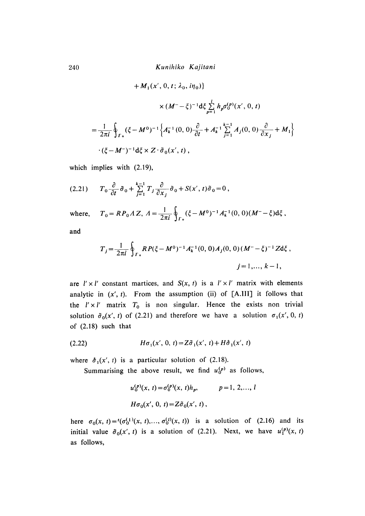$$
+ M_1(x', 0, t; \lambda_0, i\eta_0) \}
$$
  

$$
\times (M^- - \xi)^{-1} d\xi \sum_{p=1}^{l} h_p \sigma_0^{(p)}(x', 0, t)
$$
  

$$
= \frac{1}{2\pi i} \oint_{\Gamma_+} (\xi - M^0)^{-1} \left\{ A_k^{-1}(0, 0) \frac{\partial}{\partial t} + A_k^{-1} \sum_{j=1}^{k-1} A_j(0, 0) \frac{\partial}{\partial x_j} + M_1 \right\}
$$
  

$$
\cdot (\xi - M^-)^{-1} d\xi \times Z \cdot \tilde{\sigma}_0(x', t),
$$

which implies with (2.19),

$$
(2.21) \t T_0 \frac{\partial}{\partial t} \tilde{\sigma}_0 + \sum_{j=1}^{k-1} T_j \frac{\partial}{\partial x_j} \tilde{\sigma}_0 + S(x', t) \tilde{\sigma}_0 = 0,
$$

where, 
$$
T_0 = RP_0 \Lambda Z
$$
,  $\Lambda = \frac{1}{2\pi i} \oint_{\Gamma_+} (\xi - M^0)^{-1} A_k^{-1}(0, 0) (M^- - \xi) d\xi$ ,

and

$$
T_j = \frac{1}{2\pi i} \oint_{\Gamma_+} RP(\xi - M^0)^{-1} A_k^{-1}(0, 0) A_j(0, 0) (M^- - \xi)^{-1} Z d\xi ,
$$
  
  $j = 1, ..., k - 1,$ 

are  $l' \times l'$  constant martices, and  $S(x, t)$  is a  $l' \times l'$  matrix with elements analytic in  $(x', t)$ . From the assumption (ii) of  $[A. III]$  it follows that the  $l' \times l'$  matrix  $T_0$  is non singular. Hence the exists non trivial solution  $\tilde{\sigma}_0(x', t)$  of (2.21) and therefore we have a solution  $\sigma_1(x', 0, t)$ of  $(2.18)$  such that

(2.22) 
$$
H\sigma_1(x', 0, t) = Z\tilde{\sigma}_1(x', t) + H\tilde{\sigma}_1(x', t)
$$

where  $\dot{\sigma}_1(x', t)$  is a particular solution of (2.18).

Summarising the above result, we find  $u_0^{(p)}$  as follows,

$$
u_0^{(p)}(x, t) = \sigma_0^{(p)}(x, t)h_p, \qquad p = 1, 2, ..., l
$$
  

$$
H\sigma_0(x', 0, t) = Z\tilde{\sigma}_0(x', t),
$$

here  $\sigma_0(x, t) = (\sigma_0^{(1)}(x, t),..., \sigma_0^{(1)}(x, t))$  is a solution of (2.16) and its initial value  $\tilde{\sigma}_0(x', t)$  is a solution of (2.21). Next, we have  $u_1^{(p)}(x, t)$ as follows,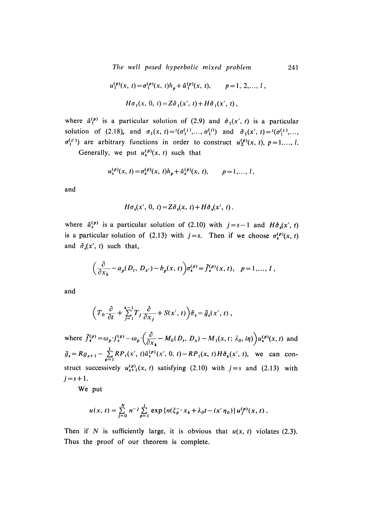*The well posed hy perbolic m ix ed problem* 241

$$
u_1^{(p)}(x, t) = \sigma_1^{(p)}(x, t)h_p + \hat{u}_1^{(p)}(x, t), \qquad p = 1, 2, ..., l,
$$
  

$$
H\sigma_1(x, 0, t) = Z\tilde{\sigma}_1(x', t) + H\hat{\sigma}_1(x', t),
$$

where  $\hat{u}_1^{(p)}$  is a particular solution of (2.9) and  $\hat{\sigma}_1(x', t)$  is a particular solution of (2.18), and  $\sigma_1(x, t) = i(\sigma_1^{(1)},...,\sigma_1^{(l)})$  and  $\tilde{\sigma}_1(x', t) = i(\sigma_1^{(1)},...,\sigma_n^{(l)})$ are arbitrary functions in order to construct  $u_2^{(p)}(x, t)$ ,  $p=1,..., l$ .

Generally, we put  $u_s^{(p)}(x, t)$  such that

$$
u_s^{(p)}(x, t) = \sigma_s^{(p)}(x, t)h_p + \mathring{u}_s^{(p)}(x, t), \qquad p = 1, ..., l,
$$

and

$$
H\sigma_s(x', 0, t) = Z\tilde{\sigma}_s(x, t) + H\tilde{\sigma}_s(x', t).
$$

where  $\hat{u}_s^{(p)}$  is a particular solution of (2.10) with  $j = s - 1$  and  $H \hat{\sigma}_s(x', t)$ is a particular solution of (2.13) with  $j = s$ . Then if we choose  $\sigma_s^{(p)}(x, t)$ and  $\tilde{\sigma}_s(x', t)$  such that,

$$
\left(\frac{\partial}{\partial x_k}-a_p(D_t, D_{x'})-b_p(x, t)\right)\sigma_s^{(p)}=\tilde{f}_s^{(p)}(x, t), \quad p=1,\ldots, l\;,
$$

and

$$
\left(T_0\frac{\partial}{\partial t}+\sum_{j=1}^{k-1}T_j\frac{\partial}{\partial x_j}+S(x',t)\right)\tilde{\sigma}_s=\tilde{g}_s(x',t)\,,
$$

where  $\tilde{f}_s^{(p)} = \omega_p \cdot f_s^{(p)} - \omega_p \cdot \left(\frac{\partial}{\partial x} - M_0(D_t, D_x) - M_1(x, t; \lambda_0, i\eta)\right) u_s^{(p)}(x, t)$  and  $\tilde{g}_s = R g_{s+1} - \sum_{p=1}^{1} R P_1(x', t) \hat{u}_s^{(p)}(x', 0, t) - R P_1(x, t) H \hat{\sigma}_s(x', t)$ , we can construct successively  $u_{s+1}^{(p)}(x, t)$  satisfying (2.10) with  $j = s$  and (2.13) with  $j = s + 1$ .

We put

$$
u(x, t) = \sum_{j=0}^{N} n^{-j} \sum_{p=1}^{l} \exp \{n(\xi_p - x_k + \lambda_0 t - ix'\eta_0)\} u_f^{(p)}(x, t).
$$

Then if *N* is sufficiently large, it is obvious that  $u(x, t)$  violates (2.3). Thus the proof of our theorem is complete.